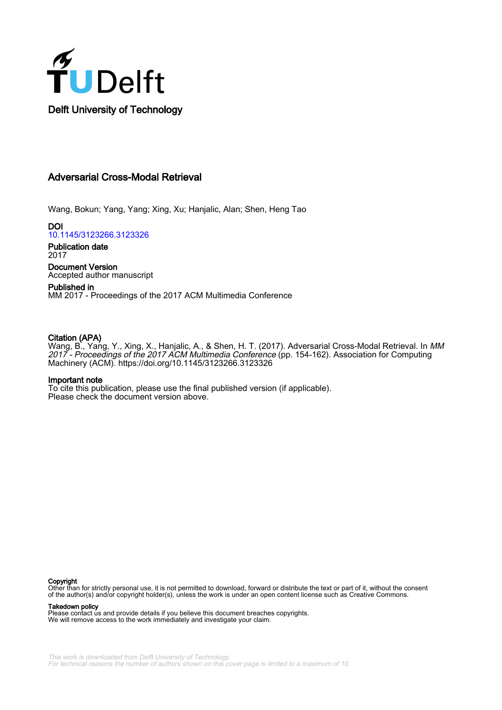

## Adversarial Cross-Modal Retrieval

Wang, Bokun; Yang, Yang; Xing, Xu; Hanjalic, Alan; Shen, Heng Tao

DOI [10.1145/3123266.3123326](https://doi.org/10.1145/3123266.3123326)

Publication date 2017

Document Version Accepted author manuscript

Published in MM 2017 - Proceedings of the 2017 ACM Multimedia Conference

## Citation (APA)

Wang, B., Yang, Y., Xing, X., Hanjalic, A., & Shen, H. T. (2017). Adversarial Cross-Modal Retrieval. In MM 2017 - Proceedings of the 2017 ACM Multimedia Conference (pp. 154-162). Association for Computing Machinery (ACM).<https://doi.org/10.1145/3123266.3123326>

#### Important note

To cite this publication, please use the final published version (if applicable). Please check the document version above.

#### Copyright

Other than for strictly personal use, it is not permitted to download, forward or distribute the text or part of it, without the consent of the author(s) and/or copyright holder(s), unless the work is under an open content license such as Creative Commons.

Takedown policy

Please contact us and provide details if you believe this document breaches copyrights. We will remove access to the work immediately and investigate your claim.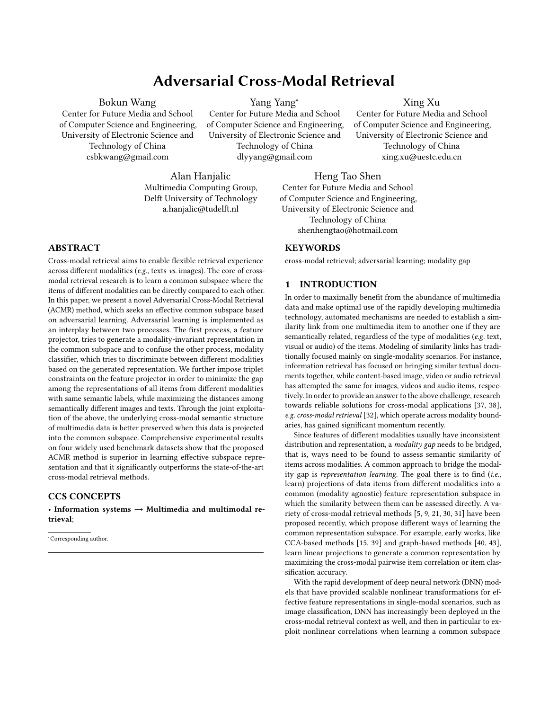# Adversarial Cross-Modal Retrieval

## Bokun Wang

Center for Future Media and School of Computer Science and Engineering, University of Electronic Science and Technology of China csbkwang@gmail.com

Yang Yang<sup>∗</sup>

Center for Future Media and School of Computer Science and Engineering, University of Electronic Science and Technology of China dlyyang@gmail.com

Xing Xu

Center for Future Media and School of Computer Science and Engineering, University of Electronic Science and Technology of China xing.xu@uestc.edu.cn

Alan Hanjalic Multimedia Computing Group, Delft University of Technology a.hanjalic@tudelft.nl

## Heng Tao Shen

Center for Future Media and School of Computer Science and Engineering, University of Electronic Science and Technology of China shenhengtao@hotmail.com

#### KEYWORDS

cross-modal retrieval; adversarial learning; modality gap

### 1 INTRODUCTION

In order to maximally benefit from the abundance of multimedia data and make optimal use of the rapidly developing multimedia technology, automated mechanisms are needed to establish a similarity link from one multimedia item to another one if they are semantically related, regardless of the type of modalities (e.g. text, visual or audio) of the items. Modeling of similarity links has traditionally focused mainly on single-modality scenarios. For instance, information retrieval has focused on bringing similar textual documents together, while content-based image, video or audio retrieval has attempted the same for images, videos and audio items, respectively. In order to provide an answer to the above challenge, research towards reliable solutions for cross-modal applications [\[37,](#page-9-0) [38\]](#page-9-1), e.g. cross-modal retrieval [\[32\]](#page-9-2), which operate across modality boundaries, has gained significant momentum recently.

Since features of different modalities usually have inconsistent distribution and representation, a modality gap needs to be bridged, that is, ways need to be found to assess semantic similarity of items across modalities. A common approach to bridge the modality gap is representation learning. The goal there is to find (i.e., learn) projections of data items from different modalities into a common (modality agnostic) feature representation subspace in which the similarity between them can be assessed directly. A variety of cross-modal retrieval methods [\[5,](#page-9-3) [9,](#page-9-4) [21,](#page-9-5) [30,](#page-9-6) [31\]](#page-9-7) have been proposed recently, which propose different ways of learning the common representation subspace. For example, early works, like CCA-based methods [\[15,](#page-9-8) [39\]](#page-9-9) and graph-based methods [\[40,](#page-9-10) [43\]](#page-9-11), learn linear projections to generate a common representation by maximizing the cross-modal pairwise item correlation or item classification accuracy.

With the rapid development of deep neural network (DNN) models that have provided scalable nonlinear transformations for effective feature representations in single-modal scenarios, such as image classification, DNN has increasingly been deployed in the cross-modal retrieval context as well, and then in particular to exploit nonlinear correlations when learning a common subspace

## ABSTRACT

Cross-modal retrieval aims to enable flexible retrieval experience across different modalities (e.g., texts vs. images). The core of crossmodal retrieval research is to learn a common subspace where the items of different modalities can be directly compared to each other. In this paper, we present a novel Adversarial Cross-Modal Retrieval (ACMR) method, which seeks an effective common subspace based on adversarial learning. Adversarial learning is implemented as an interplay between two processes. The first process, a feature projector, tries to generate a modality-invariant representation in the common subspace and to confuse the other process, modality classifier, which tries to discriminate between different modalities based on the generated representation. We further impose triplet constraints on the feature projector in order to minimize the gap among the representations of all items from different modalities with same semantic labels, while maximizing the distances among semantically different images and texts. Through the joint exploitation of the above, the underlying cross-modal semantic structure of multimedia data is better preserved when this data is projected into the common subspace. Comprehensive experimental results on four widely used benchmark datasets show that the proposed ACMR method is superior in learning effective subspace representation and that it significantly outperforms the state-of-the-art cross-modal retrieval methods.

#### CCS CONCEPTS

• Information systems  $\rightarrow$  Multimedia and multimodal retrieval;

<sup>∗</sup>Corresponding author.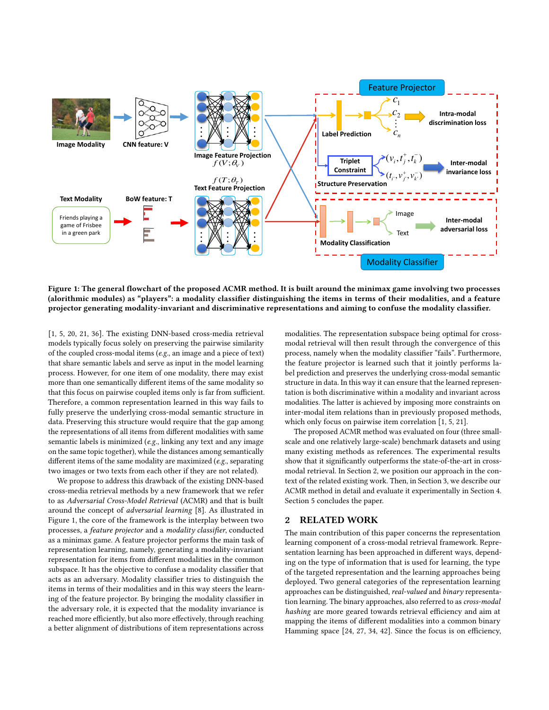<span id="page-2-0"></span>

Figure 1: The general flowchart of the proposed ACMR method. It is built around the minimax game involving two processes (alorithmic modules) as "players": a modality classifier distinguishing the items in terms of their modalities, and a feature projector generating modality-invariant and discriminative representations and aiming to confuse the modality classifier.

[\[1,](#page-9-12) [5,](#page-9-3) [20,](#page-9-13) [21,](#page-9-5) [36\]](#page-9-14). The existing DNN-based cross-media retrieval models typically focus solely on preserving the pairwise similarity of the coupled cross-modal items (e.g., an image and a piece of text) that share semantic labels and serve as input in the model learning process. However, for one item of one modality, there may exist more than one semantically different items of the same modality so that this focus on pairwise coupled items only is far from sufficient. Therefore, a common representation learned in this way fails to fully preserve the underlying cross-modal semantic structure in data. Preserving this structure would require that the gap among the representations of all items from different modalities with same semantic labels is minimized (e.g., linking any text and any image on the same topic together), while the distances among semantically different items of the same modality are maximized (e.g., separating two images or two texts from each other if they are not related).

We propose to address this drawback of the existing DNN-based cross-media retrieval methods by a new framework that we refer to as Adversarial Cross-Model Retrieval (ACMR) and that is built around the concept of adversarial learning [\[8\]](#page-9-15). As illustrated in Figure [1,](#page-2-0) the core of the framework is the interplay between two processes, a feature projector and a modality classifier, conducted as a minimax game. A feature projector performs the main task of representation learning, namely, generating a modality-invariant representation for items from different modalities in the common subspace. It has the objective to confuse a modality classifier that acts as an adversary. Modality classifier tries to distinguish the items in terms of their modalities and in this way steers the learning of the feature projector. By bringing the modality classifier in the adversary role, it is expected that the modality invariance is reached more efficiently, but also more effectively, through reaching a better alignment of distributions of item representations across

modalities. The representation subspace being optimal for crossmodal retrieval will then result through the convergence of this process, namely when the modality classifier "fails". Furthermore, the feature projector is learned such that it jointly performs label prediction and preserves the underlying cross-modal semantic structure in data. In this way it can ensure that the learned representation is both discriminative within a modality and invariant across modalities. The latter is achieved by imposing more constraints on inter-modal item relations than in previously proposed methods, which only focus on pairwise item correlation [\[1,](#page-9-12) [5,](#page-9-3) [21\]](#page-9-5).

The proposed ACMR method was evaluated on four (three smallscale and one relatively large-scale) benchmark datasets and using many existing methods as references. The experimental results show that it significantly outperforms the state-of-the-art in crossmodal retrieval. In Section 2, we position our approach in the context of the related existing work. Then, in Section 3, we describe our ACMR method in detail and evaluate it experimentally in Section 4. Section 5 concludes the paper.

#### 2 RELATED WORK

The main contribution of this paper concerns the representation learning component of a cross-modal retrieval framework. Representation learning has been approached in different ways, depending on the type of information that is used for learning, the type of the targeted representation and the learning approaches being deployed. Two general categories of the representation learning approaches can be distinguished, real-valued and binary representation learning. The binary approaches, also referred to as cross-modal hashing are more geared towards retrieval efficiency and aim at mapping the items of different modalities into a common binary Hamming space [\[24,](#page-9-16) [27,](#page-9-17) [34,](#page-9-18) [42\]](#page-9-19). Since the focus is on efficiency,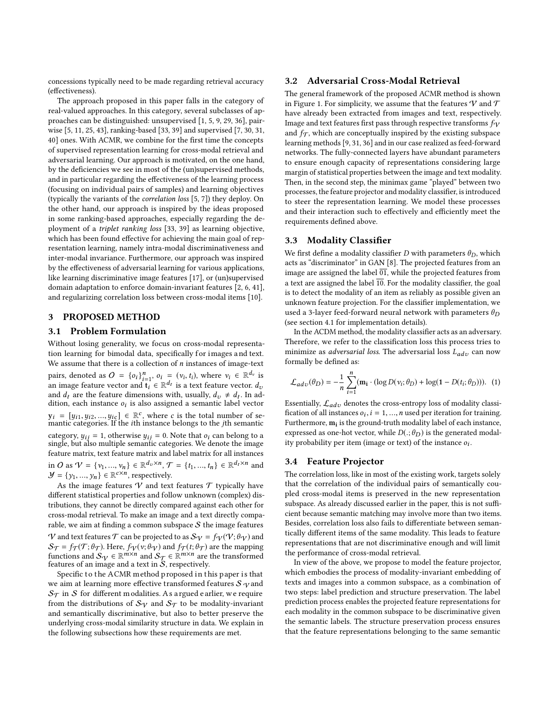concessions typically need to be made regarding retrieval accuracy (effectiveness).

The approach proposed in this paper falls in the category of real-valued approaches. In this category, several subclasses of approaches can be distinguished: unsupervised [\[1,](#page-9-12) [5,](#page-9-3) [9,](#page-9-4) [29,](#page-9-20) [36\],](#page-9-14) pairwise [\[5,](#page-9-3) [11,](#page-9-21) [25,](#page-9-22) [43\]](#page-9-11), ranking-based [\[33,](#page-9-23) [39\]](#page-9-9) and supervised [\[7,](#page-9-24) [30,](#page-9-6) [31,](#page-9-7) [40\]](#page-9-10) ones. With ACMR, we combine for the first time the concepts of supervised representation learning for cross-modal retrieval and adversarial learning. Our approach is motivated, on the one hand, by the deficiencies we see in most of the (un)supervised methods, and in particular regarding the effectiveness of the learning process (focusing on individual pairs of samples) and learning objectives (typically the variants of the correlation loss [\[5,](#page-9-3) [7\]\)](#page-9-24) they deploy. On the other hand, our approach is inspired by the ideas proposed in some ranking-based approaches, especially regarding the deployment of a triplet ranking loss [\[33,](#page-9-23) [39\]](#page-9-9) as learning objective, which has been found effective for achieving the main goal of representation learning, namely intra-modal discriminativeness and inter-modal invariance. Furthermore, our approach was inspired by the effectiveness of adversarial learning for various applications, like learning discriminative image features [\[17\],](#page-9-25) or (un)supervised domain adaptation to enforce domain-invariant features [\[2,](#page-9-26) [6,](#page-9-27) [41\]](#page-9-28), and regularizing correlation loss between cross-modal items [\[10\]](#page-9-29).

#### 3 PROPOSED METHOD

#### 3.1 Problem Formulation

Without losing generality, we focus on cross-modal representation learning for bimodal data, specifically for images and text. We assume that there is a collection of  $n$  instances of image-text pairs, denoted as  $O = \{o_i\}_{i=1}^n$ ,  $o_i = (v_i, t_i)$ , where  $v_i \in \mathbb{R}^{d_v}$  is an image feature vector and  $\mathbf{t}_i^{-1} \in \mathbb{R}^{d_t}$  is a text feature vector.  $d_v$ and  $d_t$  are the feature dimensions with, usually,  $d_v \neq d_t$ . In addition, each instance  $o_i$  is also assigned a semantic label vector  $y_i = [y_{i1}, y_{i2}, ..., y_{ic}] \in \mathbb{R}^c$ , where c is the total number of semantic categories. If the ith instance belongs to the jth semantic category,  $y_{ij} = 1$ , otherwise  $y_{ij} = 0$ . Note that  $o_i$  can belong to a single, but also multiple semantic categories. We denote the image feature matrix, text feature matrix and label matrix for all instances in O as  $V = \{v_1, ..., v_n\} \in \mathbb{R}^{d_v \times n}, \mathcal{T} = \{t_1, ..., t_n\} \in \mathbb{R}^{d_t \times n}$  and  $\mathcal{Y} = \{y_1, ..., y_n\} \in \mathbb{R}^{c \times n}$ , respectively.

As the image features  $\mathcal V$  and text features  $\mathcal T$  typically have different statistical properties and follow unknown (complex) distributions, they cannot be directly compared against each other for cross-modal retrieval. To make an image and a text directly comparable, we aim at finding a common subspace  $S$  the image features V and text features  $\mathcal T$  can be projected to as  $\mathcal S_{\mathcal V} = f_{\mathcal V}(\mathcal V;\theta_{\mathcal V})$  and  $S_{\mathcal{T}} = f_{\mathcal{T}}(\mathcal{T}; \theta_{\mathcal{T}})$ . Here,  $f_{\mathcal{V}}(v; \theta_{\mathcal{V}})$  and  $f_{\mathcal{T}}(t; \theta_{\mathcal{T}})$  are the mapping functions and  $\mathcal{S}_\mathcal{V} \in \mathbb{R}^{m \times n}$  and  $\mathcal{S}_\mathcal{T} \in \mathbb{R}^{m \times n}$  are the transformed features of an image and a text in  $S$ , respectively.

Specific to the ACMR method proposed in this paper is that we aim at learning more effective transformed features  $S_{\gamma}$  and  $\mathcal{S}_{\mathcal{T}}$  in S for different m odalities. As a rgued e arlier, we require from the distributions of  $S_{\gamma}$  and  $S_{\gamma}$  to be modality-invariant and semantically discriminative, but also to better preserve the underlying cross-modal similarity structure in data. We explain in the following subsections how these requirements are met.

#### 3.2 Adversarial Cross-Modal Retrieval

The general framework of the proposed ACMR method is shown in Figure [1.](#page-2-0) For simplicity, we assume that the features  $V$  and  $T$ have already been extracted from images and text, respectively. Image and text features first pass through respective transforms  $f_V$ and  $f_{\mathcal{T}}$ , which are conceptually inspired by the existing subspace learning methods [\[9,](#page-9-4) [31,](#page-9-7) [36\]](#page-9-14) and in our case realized as feed-forward networks. The fully-connected layers have abundant parameters to ensure enough capacity of representations considering large margin of statistical properties between the image and text modality. Then, in the second step, the minimax game "played" between two processes, the feature projector and modality classifier, is introduced to steer the representation learning. We model these processes and their interaction such to effectively and efficiently meet the requirements defined above.

#### 3.3 Modality Classifier

We first define a modality classifier D with parameters  $\theta_D$ , which acts as "discriminator" in GAN [\[8\]](#page-9-15). The projected features from an image are assigned the label  $\overline{01}$ , while the projected features from a text are assigned the label  $\overline{10}$ . For the modality classifier, the goal is to detect the modality of an item as reliably as possible given an unknown feature projection. For the classifier implementation, we used a 3-layer feed-forward neural network with parameters  $\theta_D$ (see section 4.1 for implementation details).

In the ACDM method, the modality classifier acts as an adversary. Therefore, we refer to the classification loss this process tries to minimize as *adversarial loss*. The adversarial loss  $L_{adv}$  can now formally be defined as:

<span id="page-3-0"></span>
$$
\mathcal{L}_{adv}(\theta_D) = -\frac{1}{n} \sum_{i=1}^{n} (\mathbf{m}_i \cdot (\log D(\nu_i; \theta_D) + \log(1 - D(t_i; \theta_D))). \tag{1}
$$

Essentially,  $\mathcal{L}_{adv}$  denotes the cross-entropy loss of modality classification of all instances  $o_i$ ,  $i = 1, ..., n$  used per iteration for training. Furthermore,  $\mathbf{m_i}$  is the ground-truth modality label of each instance, expressed as one-hot vector, while  $D(.;\theta_D)$  is the generated modality probability per item (image or text) of the instance  $o_i$ .

#### 3.4 Feature Projector

The correlation loss, like in most of the existing work, targets solely that the correlation of the individual pairs of semantically coupled cross-modal items is preserved in the new representation subspace. As already discussed earlier in the paper, this is not sufficient because semantic matching may involve more than two items. Besides, correlation loss also fails to differentiate between semantically different items of the same modality. This leads to feature representations that are not discriminative enough and will limit the performance of cross-modal retrieval.

In view of the above, we propose to model the feature projector, which embodies the process of modality-invariant embedding of texts and images into a common subspace, as a combination of two steps: label prediction and structure preservation. The label prediction process enables the projected feature representations for each modality in the common subspace to be discriminative given the semantic labels. The structure preservation process ensures that the feature representations belonging to the same semantic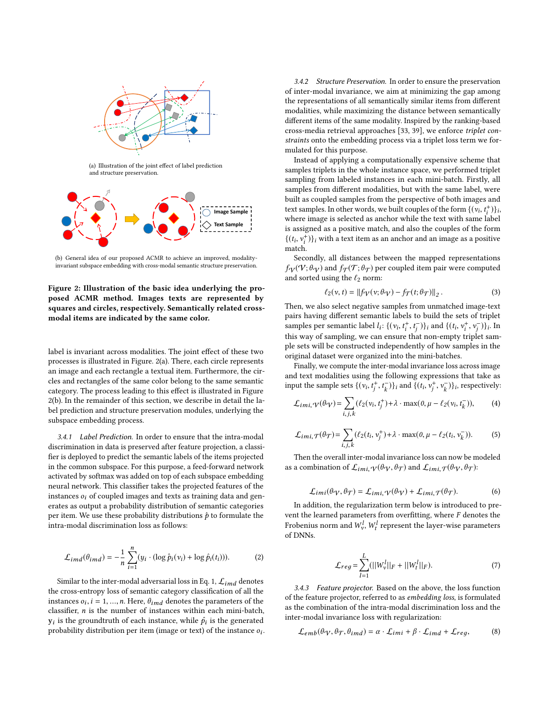<span id="page-4-0"></span>

(a) Illustration of the joint effect of label prediction and structure preservation.



(b) General idea of our proposed ACMR to achieve an improved, modalityinvariant subspace embedding with cross-modal semantic structure preservation.

Figure 2: Illustration of the basic idea underlying the proposed ACMR method. Images texts are represented by squares and circles, respectively. Semantically related crossmodal items are indicated by the same color.

label is invariant across modalities. The joint effect of these two processes is illustrated in Figure. [2\(](#page-4-0)a). There, each circle represents an image and each rectangle a textual item. Furthermore, the circles and rectangles of the same color belong to the same semantic category. The process leading to this effect is illustrated in Figure [2\(](#page-4-0)b). In the remainder of this section, we describe in detail the label prediction and structure preservation modules, underlying the subspace embedding process.

3.4.1 Label Prediction. In order to ensure that the intra-modal discrimination in data is preserved after feature projection, a classifier is deployed to predict the semantic labels of the items projected in the common subspace. For this purpose, a feed-forward network activated by softmax was added on top of each subspace embedding neural network. This classifier takes the projected features of the instances  $o_i$  of coupled images and texts as training data and generates as output a probability distribution of semantic categories per item. We use these probability distributions  $\hat{p}$  to formulate the intra-modal discrimination loss as follows:

$$
\mathcal{L}_{imd}(\theta_{imd}) = -\frac{1}{n} \sum_{i=1}^{n} (y_i \cdot (\log \hat{p}_i(v_i) + \log \hat{p}_i(t_i))).
$$
 (2)

Similar to the inter-modal adversarial loss in Eq. [1,](#page-3-0)  $\mathcal{L}_{imd}$  denotes the cross-entropy loss of semantic category classification of all the instances  $o_i$ ,  $i = 1, ..., n$ . Here,  $\theta_{imd}$  denotes the parameters of the classifier,  $n$  is the number of instances within each mini-batch,  $\mathbf{y}_i$  is the groundtruth of each instance, while  $\hat{p}_i$  is the generated probability distribution per item (image or text) of the instance  $o_i$ .

3.4.2 Structure Preservation. In order to ensure the preservation of inter-modal invariance, we aim at minimizing the gap among the representations of all semantically similar items from different modalities, while maximizing the distance between semantically different items of the same modality. Inspired by the ranking-based cross-media retrieval approaches [\[33,](#page-9-23) [39\]](#page-9-9), we enforce triplet constraints onto the embedding process via a triplet loss term we formulated for this purpose.

Instead of applying a computationally expensive scheme that samples triplets in the whole instance space, we performed triplet sampling from labeled instances in each mini-batch. Firstly, all samples from different modalities, but with the same label, were built as coupled samples from the perspective of both images and text samples. In other words, we built couples of the form  $\{ (v_i, t_i) \}$  $_{i}^{+})\}_{i}$ where image is selected as anchor while the text with same label is assigned as a positive match, and also the couples of the form  $\{(t_i, v_i^+)$  $\{(\dagger)}_i)$ <sub>i</sub>) $\}$ <sub>i</sub> with a text item as an anchor and an image as a positive match.

Secondly, all distances between the mapped representations  $f_V(V; \theta_V)$  and  $f_T(T; \theta_T)$  per coupled item pair were computed and sorted using the  $\ell_2$  norm:

$$
\ell_2(\nu, t) = \|f_{\mathcal{V}}(\nu; \theta_{\mathcal{V}}) - f_{\mathcal{T}}(t; \theta_{\mathcal{T}})\|_2.
$$
 (3)

Then, we also select negative samples from unmatched image-text pairs having different semantic labels to build the sets of triplet samples per semantic label  $l_i$ : {( $v_i, t_i^+$  $\{t_i^+, t_j^-\}$ } and  $\{(t_i, v_i^+)$  $\{(\tau_i^+, \nu_j^+)\}_i$ . In this way of sampling, we can ensure that non-empty triplet sample sets will be constructed independently of how samples in the original dataset were organized into the mini-batches.

Finally, we compute the inter-modal invariance loss across image and text modalities using the following expressions that take as input the sample sets  $\{ (v_i, t_i^+)$  $\{(\tau_i, \nu_j^+) \}$  and  $\{(\tau_i, \nu_j^+)$  $\{v_k^+, v_k^-\}$ <sub>i</sub>, respectively:

$$
\mathcal{L}_{imi,\,\mathcal{V}}(\theta_{\mathcal{V}}) = \sum_{i,j,k} (\ell_2(v_i, t_j^+) + \lambda \cdot \max(0, \mu - \ell_2(v_i, t_k^-)),\tag{4}
$$

$$
\mathcal{L}_{imi,\mathcal{T}}(\theta_{\mathcal{T}}) = \sum_{i,j,k} (\ell_2(t_i, v_j^+) + \lambda \cdot \max(0, \mu - \ell_2(t_i, v_k^-)).
$$
 (5)

Then the overall inter-modal invariance loss can now be modeled as a combination of  $\mathcal{L}_{imi, \mathcal{V}}(\theta_{\mathcal{V}}, \theta_{\mathcal{T}})$  and  $\mathcal{L}_{imi, \mathcal{T}}(\theta_{\mathcal{V}}, \theta_{\mathcal{T}})$ :

$$
\mathcal{L}_{imi}(\theta_V, \theta_T) = \mathcal{L}_{imi, V}(\theta_V) + \mathcal{L}_{imi, T}(\theta_T). \tag{6}
$$

In addition, the regularization term below is introduced to prevent the learned parameters from overfitting, where  $F$  denotes the Frobenius norm and  $W_v^l$ ,  $W_t^l$  represent the layer-wise parameters of DNNs.

$$
\mathcal{L}_{reg} = \sum_{l=1}^{L} (||W_v^l||_F + ||W_t^l||_F). \tag{7}
$$

3.4.3 Feature projector. Based on the above, the loss function of the feature projector, referred to as embedding loss, is formulated as the combination of the intra-modal discrimination loss and the inter-modal invariance loss with regularization:

<span id="page-4-1"></span>
$$
\mathcal{L}_{emb}(\theta_V, \theta_T, \theta_{imd}) = \alpha \cdot \mathcal{L}_{imi} + \beta \cdot \mathcal{L}_{imd} + \mathcal{L}_{reg},
$$
 (8)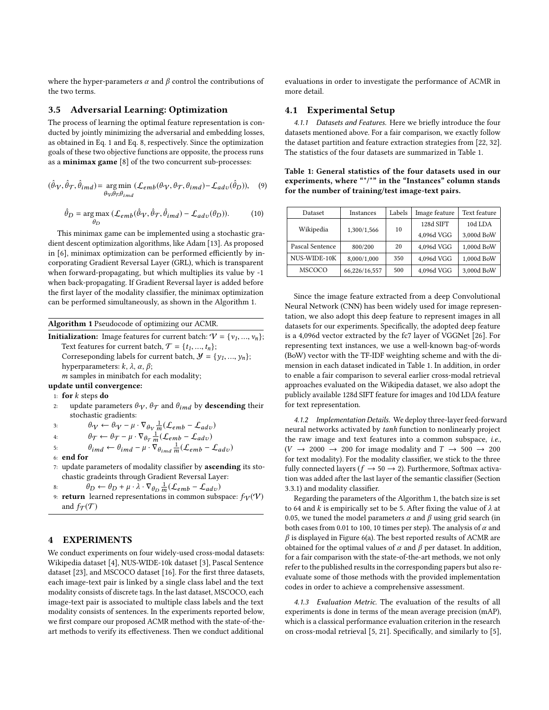where the hyper-parameters  $\alpha$  and  $\beta$  control the contributions of the two terms.

#### 3.5 Adversarial Learning: Optimization

The process of learning the optimal feature representation is conducted by jointly minimizing the adversarial and embedding losses, as obtained in Eq. [1](#page-3-0) and Eq. [8,](#page-4-1) respectively. Since the optimization goals of these two objective functions are opposite, the process runs as a minimax game [\[8\]](#page-9-15) of the two concurrent sub-processes:

$$
(\hat{\theta}_{\gamma}, \hat{\theta}_{\gamma}, \hat{\theta}_{imd}) = \underset{\theta_{\gamma}, \theta_{\gamma}, \theta_{imd}}{\arg \min} (\mathcal{L}_{emb}(\theta_{\gamma}, \theta_{\gamma}, \theta_{imd}) - \mathcal{L}_{adv}(\hat{\theta}_{D})), \quad (9)
$$

$$
\hat{\theta}_D = \underset{\theta_D}{\arg \max} \ (\mathcal{L}_{emb}(\hat{\theta}_V, \hat{\theta}_T, \hat{\theta}_{ind}) - \mathcal{L}_{adv}(\theta_D)).
$$
 (10)

This minimax game can be implemented using a stochastic gradient descent optimization algorithms, like Adam [\[13\]](#page-9-30). As proposed in [\[6\]](#page-9-27), minimax optimization can be performed efficiently by incorporating Gradient Reversal Layer (GRL), which is transparent when forward-propagating, but which multiplies its value by -1 when back-propagating. If Gradient Reversal layer is added before the first layer of the modality classifier, the minimax optimization can be performed simultaneously, as shown in the Algorithm [1.](#page-5-0)

<span id="page-5-0"></span>

|  |  | Algorithm 1 Pseudocode of optimizing our ACMR. |  |
|--|--|------------------------------------------------|--|
|--|--|------------------------------------------------|--|

**Initialization:** Image features for current batch:  $V = \{v_1, ..., v_n\}$ ; Text features for current batch,  $\mathcal{T} = \{t_1, ..., t_n\}$ ; Correseponding labels for current batch,  $\mathcal{Y} = \{y_1, ..., y_n\}$ ; hyperparameters:  $k$ ,  $λ$ ,  $α$ ,  $β$ ; m samples in minibatch for each modality; update until convergence:

## 1: for  $k$  steps do

2: update parameters  $\theta_V$ ,  $\theta_T$  and  $\theta_{imd}$  by **descending** their stochastic gradients:

3: 
$$
\theta_V \leftarrow \theta_V - \mu \cdot \nabla_{\theta_V} \frac{1}{m} (\mathcal{L}_{emb} - \mathcal{L}_{adv})
$$

4. 
$$
\theta_{\mathcal{T}} \leftarrow \theta_{\mathcal{T}} - \mu \cdot \nabla_{\theta_{\mathcal{T}}} \frac{1}{m} (\mathcal{L}_{emb} - \mathcal{L}_{adv})
$$

5: 
$$
\theta_{imd} \leftarrow \theta_{imd} - \mu \cdot \nabla_{\theta_{imd}} \frac{1}{m} (\mathcal{L}_{emb} - \mathcal{L}_{adv})
$$

- 6: end for
- 7: update parameters of modality classifier by ascending its stochastic gradeints through Gradient Reversal Layer:
- 8:  $\theta_D \leftarrow \theta_D + \mu \cdot \lambda \cdot \nabla_{\theta_D} \frac{1}{m} (\mathcal{L}_{emb} \mathcal{L}_{adv})$
- 9: **return** learned representations in common subspace:  $f_V(V)$ and  $f_{\mathcal{T}}(\mathcal{T})$

## 4 EXPERIMENTS

We conduct experiments on four widely-used cross-modal datasets: Wikipedia dataset [\[4\]](#page-9-31), NUS-WIDE-10k dataset [\[3\]](#page-9-32), Pascal Sentence dataset [\[23\]](#page-9-33), and MSCOCO dataset [\[16\]](#page-9-34). For the first three datasets, each image-text pair is linked by a single class label and the text modality consists of discrete tags. In the last dataset, MSCOCO, each image-text pair is associated to multiple class labels and the text modality consists of sentences. In the experiments reported below, we first compare our proposed ACMR method with the state-of-theart methods to verify its effectiveness. Then we conduct additional

evaluations in order to investigate the performance of ACMR in more detail.

#### 4.1 Experimental Setup

4.1.1 Datasets and Features. Here we briefly introduce the four datasets mentioned above. For a fair comparison, we exactly follow the dataset partition and feature extraction strategies from [\[22,](#page-9-35) [32\]](#page-9-2). The statistics of the four datasets are summarized in Table [1.](#page-5-1)

<span id="page-5-1"></span>Table 1: General statistics of the four datasets used in our experiments, where "\*/\*" in the "Instances" column stands for the number of training/test image-text pairs.

| Dataset         | Instances     | Labels | Image feature | Text feature |
|-----------------|---------------|--------|---------------|--------------|
| Wikipedia       | 1,300/1,566   | 10     | 128d SIFT     | 10d LDA      |
|                 |               |        | 4,096d VGG    | 3,000d BoW   |
| Pascal Sentence | 800/200       | 20     | 4,096d VGG    | 1.000d BoW   |
| NUS-WIDE-10K    | 8,000/1,000   | 350    | 4,096d VGG    | 1.000d BoW   |
| <b>MSCOCO</b>   | 66,226/16,557 | 500    | 4,096d VGG    | 3.000d BoW   |

Since the image feature extracted from a deep Convolutional Neural Network (CNN) has been widely used for image representation, we also adopt this deep feature to represent images in all datasets for our experiments. Specifically, the adopted deep feature is a 4,096d vector extracted by the fc7 layer of VGGNet [\[26\]](#page-9-36). For representing text instances, we use a well-known bag-of-words (BoW) vector with the TF-IDF weighting scheme and with the dimension in each dataset indicated in Table [1.](#page-5-1) In addition, in order to enable a fair comparison to several earlier cross-modal retrieval approaches evaluated on the Wikipedia dataset, we also adopt the publicly available 128d SIFT feature for images and 10d LDA feature for text representation.

4.1.2 Implementation Details. We deploy three-layer feed-forward neural networks activated by tanh function to nonlinearly project the raw image and text features into a common subspace, i.e.,  $(V \rightarrow 2000 \rightarrow 200$  for image modality and  $T \rightarrow 500 \rightarrow 200$ for text modality). For the modality classifier, we stick to the three fully connected layers ( $f \rightarrow 50 \rightarrow 2$ ). Furthermore, Softmax activation was added after the last layer of the semantic classifier (Section 3.3.1) and modality classifier.

Regarding the parameters of the Algorithm [1,](#page-5-0) the batch size is set to 64 and k is empirically set to be 5. After fixing the value of  $\lambda$  at 0.05, we tuned the model parameters  $\alpha$  and  $\beta$  using grid search (in both cases from 0.01 to 100, 10 times per step). The analysis of  $\alpha$  and  $\beta$  is displayed in Figure [6\(a\).](#page-8-0) The best reported results of ACMR are obtained for the optimal values of  $\alpha$  and  $\beta$  per dataset. In addition, for a fair comparison with the state-of-the-art methods, we not only refer to the published results in the corresponding papers but also reevaluate some of those methods with the provided implementation codes in order to achieve a comprehensive assessment.

4.1.3 Evaluation Metric. The evaluation of the results of all experiments is done in terms of the mean average precision (mAP), which is a classical performance evaluation criterion in the research on cross-modal retrieval [\[5,](#page-9-3) [21\]](#page-9-5). Specifically, and similarly to [\[5\]](#page-9-3),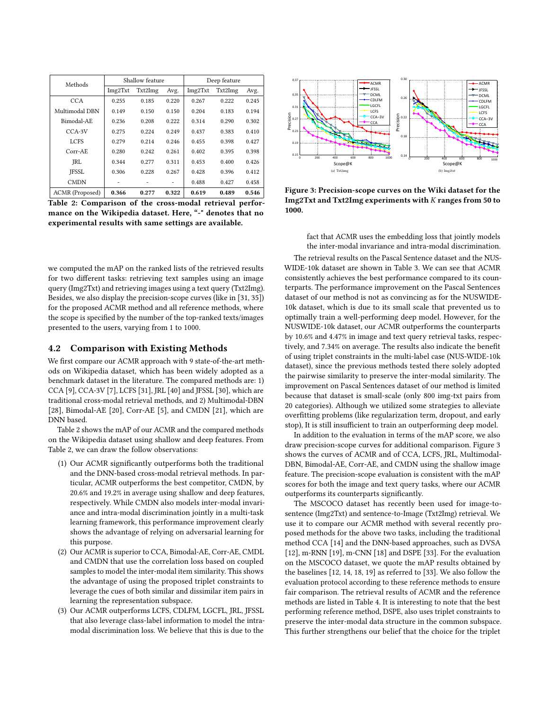<span id="page-6-0"></span>

| Methods         | Shallow feature |         |       | Deep feature |         |       |  |
|-----------------|-----------------|---------|-------|--------------|---------|-------|--|
|                 | Img2Txt         | Txt2Img | Avg.  | Img2Txt      | Txt2Img | Avg.  |  |
| <b>CCA</b>      | 0.255           | 0.185   | 0.220 | 0.267        | 0.222   | 0.245 |  |
| Multimodal DBN  | 0.149           | 0.150   | 0.150 | 0.204        | 0.183   | 0.194 |  |
| Bimodal-AE      | 0.236           | 0.208   | 0.222 | 0.314        | 0.290   | 0.302 |  |
| $CCA-3V$        | 0.275           | 0.224   | 0.249 | 0.437        | 0.383   | 0.410 |  |
| <b>LCFS</b>     | 0.279           | 0.214   | 0.246 | 0.455        | 0.398   | 0.427 |  |
| $Corr-AE$       | 0.280           | 0.242   | 0.261 | 0.402        | 0.395   | 0.398 |  |
| <b>IRL</b>      | 0.344           | 0.277   | 0.311 | 0.453        | 0.400   | 0.426 |  |
| <b>IFSSL</b>    | 0.306           | 0.228   | 0.267 | 0.428        | 0.396   | 0.412 |  |
| <b>CMDN</b>     |                 |         |       | 0.488        | 0.427   | 0.458 |  |
| ACMR (Proposed) | 0.366           | 0.277   | 0.322 | 0.619        | 0.489   | 0.546 |  |

Table 2: Comparison of the cross-modal retrieval performance on the Wikipedia dataset. Here, "-" denotes that no experimental results with same settings are available.

we computed the mAP on the ranked lists of the retrieved results for two different tasks: retrieving text samples using an image query (Img2Txt) and retrieving images using a text query (Txt2Img). Besides, we also display the precision-scope curves (like in [\[31,](#page-9-7) [35\]](#page-9-37)) for the proposed ACMR method and all reference methods, where the scope is specified by the number of the top-ranked texts/images presented to the users, varying from 1 to 1000.

#### 4.2 Comparison with Existing Methods

We first compare our ACMR approach with 9 state-of-the-art methods on Wikipedia dataset, which has been widely adopted as a benchmark dataset in the literature. The compared methods are: 1) CCA [\[9\]](#page-9-4), CCA-3V [\[7\]](#page-9-24), LCFS [\[31\]](#page-9-7), JRL [\[40\]](#page-9-10) and JFSSL [\[30\]](#page-9-6), which are traditional cross-modal retrieval methods, and 2) Multimodal-DBN [\[28\]](#page-9-38), Bimodal-AE [\[20\]](#page-9-13), Corr-AE [\[5\]](#page-9-3), and CMDN [\[21\]](#page-9-5), which are DNN based.

Table [2](#page-6-0) shows the mAP of our ACMR and the compared methods on the Wikipedia dataset using shallow and deep features. From Table [2,](#page-6-0) we can draw the follow observations:

- (1) Our ACMR significantly outperforms both the traditional and the DNN-based cross-modal retrieval methods. In particular, ACMR outperforms the best competitor, CMDN, by 20.6% and 19.2% in average using shallow and deep features, respectively. While CMDN also models inter-modal invariance and intra-modal discrimination jointly in a multi-task learning framework, this performance improvement clearly shows the advantage of relying on adversarial learning for this purpose.
- (2) Our ACMR is superior to CCA, Bimodal-AE, Corr-AE, CMDL and CMDN that use the correlation loss based on coupled samples to model the inter-modal item similarity. This shows the advantage of using the proposed triplet constraints to leverage the cues of both similar and dissimilar item pairs in learning the representation subspace.
- (3) Our ACMR outperforms LCFS, CDLFM, LGCFL, JRL, JFSSL that also leverage class-label information to model the intramodal discrimination loss. We believe that this is due to the

<span id="page-6-1"></span>

Figure 3: Precision-scope curves on the Wiki dataset for the Img2Txt and Txt2Img experiments with K ranges from 50 to 1000.

fact that ACMR uses the embedding loss that jointly models the inter-modal invariance and intra-modal discrimination.

The retrieval results on the Pascal Sentence dataset and the NUS-WIDE-10k dataset are shown in Table 3. We can see that ACMR consistently achieves the best performance compared to its counterparts. The performance improvement on the Pascal Sentences dataset of our method is not as convincing as for the NUSWIDE-10k dataset, which is due to its small scale that prevented us to optimally train a well-performing deep model. However, for the NUSWIDE-10k dataset, our ACMR outperforms the counterparts by 10.6% and 4.47% in image and text query retrieval tasks, respectively, and 7.34% on average. The results also indicate the benefit of using triplet constraints in the multi-label case (NUS-WIDE-10k dataset), since the previous methods tested there solely adopted the pairwise similarity to preserve the inter-modal similarity. The improvement on Pascal Sentences dataset of our method is limited because that dataset is small-scale (only 800 img-txt pairs from 20 categories). Although we utilized some strategies to alleviate overfitting problems (like regularization term, dropout, and early stop), It is still insufficient to train an outperforming deep model.

In addition to the evaluation in terms of the mAP score, we also draw precision-scope curves for additional comparison. Figure [3](#page-6-1) shows the curves of ACMR and of CCA, LCFS, JRL, Multimodal-DBN, Bimodal-AE, Corr-AE, and CMDN using the shallow image feature. The precision-scope evaluation is consistent with the mAP scores for both the image and text query tasks, where our ACMR outperforms its counterparts significantly.

The MSCOCO dataset has recently been used for image-tosentence (Img2Txt) and sentence-to-Image (Txt2Img) retrieval. We use it to compare our ACMR method with several recently proposed methods for the above two tasks, including the traditional method CCA [\[14\]](#page-9-39) and the DNN-based approaches, such as DVSA [\[12\]](#page-9-40), m-RNN [\[19\]](#page-9-41), m-CNN [\[18\]](#page-9-42) and DSPE [\[33\]](#page-9-23). For the evaluation on the MSCOCO dataset, we quote the mAP results obtained by the baselines [\[12,](#page-9-40) [14,](#page-9-39) [18,](#page-9-42) [19\]](#page-9-41) as referred to [\[33\]](#page-9-23). We also follow the evaluation protocol according to these reference methods to ensure fair comparison. The retrieval results of ACMR and the reference methods are listed in Table [4.](#page-7-0) It is interesting to note that the best performing reference method, DSPE, also uses triplet constraints to preserve the inter-modal data structure in the common subspace. This further strengthens our belief that the choice for the triplet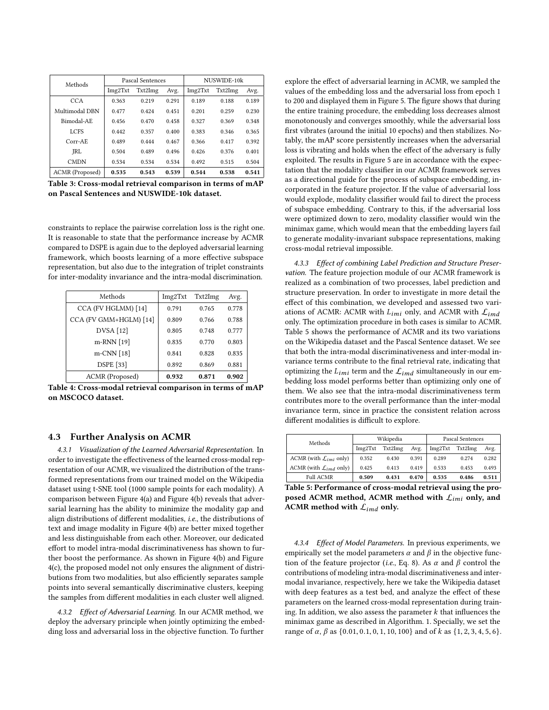|  | Methods         | Pascal Sentences |         |       | NUSWIDE-10k |         |       |  |
|--|-----------------|------------------|---------|-------|-------------|---------|-------|--|
|  |                 | Img2Txt          | Txt2Img | Avg.  | Img2Txt     | Txt2Img | Avg.  |  |
|  | <b>CCA</b>      | 0.363            | 0.219   | 0.291 | 0.189       | 0.188   | 0.189 |  |
|  | Multimodal DBN  | 0.477            | 0.424   | 0.451 | 0.201       | 0.259   | 0.230 |  |
|  | Bimodal-AE      | 0.456            | 0.470   | 0.458 | 0.327       | 0.369   | 0.348 |  |
|  | <b>LCFS</b>     | 0.442            | 0.357   | 0.400 | 0.383       | 0.346   | 0.365 |  |
|  | $Corr-AE$       | 0.489            | 0.444   | 0.467 | 0.366       | 0.417   | 0.392 |  |
|  | <b>IRL</b>      | 0.504            | 0.489   | 0.496 | 0.426       | 0.376   | 0.401 |  |
|  | <b>CMDN</b>     | 0.534            | 0.534   | 0.534 | 0.492       | 0.515   | 0.504 |  |
|  | ACMR (Proposed) | 0.535            | 0.543   | 0.539 | 0.544       | 0.538   | 0.541 |  |

Table 3: Cross-modal retrieval comparison in terms of mAP on Pascal Sentences and NUSWIDE-10k dataset.

constraints to replace the pairwise correlation loss is the right one. It is reasonable to state that the performance increase by ACMR compared to DSPE is again due to the deployed adversarial learning framework, which boosts learning of a more effective subspace representation, but also due to the integration of triplet constraints for inter-modality invariance and the intra-modal discrimination.

<span id="page-7-0"></span>

| Methods                | Img2Txt | Txt2Img | Avg.  |
|------------------------|---------|---------|-------|
| CCA (FV HGLMM) [14]    | 0.791   | 0.765   | 0.778 |
| CCA (FV GMM+HGLM) [14] | 0.809   | 0.766   | 0.788 |
| <b>DVSA</b> [12]       | 0.805   | 0.748   | 0.777 |
| m-RNN [19]             | 0.835   | 0.770   | 0.803 |
| m-CNN [18]             | 0.841   | 0.828   | 0.835 |
| <b>DSPE</b> [33]       | 0.892   | 0.869   | 0.881 |
| ACMR (Proposed)        | 0.932   | 0.871   | 0.902 |

Table 4: Cross-modal retrieval comparison in terms of mAP on MSCOCO dataset.

#### 4.3 Further Analysis on ACMR

4.3.1 Visualization of the Learned Adversarial Representation. In order to investigate the effectiveness of the learned cross-modal representation of our ACMR, we visualized the distribution of the transformed representations from our trained model on the Wikipedia dataset using t-SNE tool (1000 sample points for each modality). A comparison between Figure [4\(a\)](#page-8-1) and Figure [4\(b\)](#page-8-2) reveals that adversarial learning has the ability to minimize the modality gap and align distributions of different modalities, i.e., the distributions of text and image modality in Figure [4\(b\)](#page-8-2) are better mixed together and less distinguishable from each other. Moreover, our dedicated effort to model intra-modal discriminativeness has shown to further boost the performance. As shown in Figure 4(b) and Figure 4(c), the proposed model not only ensures the alignment of distributions from two modalities, but also efficiently separates sample points into several semantically discriminative clusters, keeping the samples from different modalities in each cluster well aligned.

4.3.2 Effect of Adversarial Learning. In our ACMR method, we deploy the adversary principle when jointly optimizing the embedding loss and adversarial loss in the objective function. To further

explore the effect of adversarial learning in ACMR, we sampled the values of the embedding loss and the adversarial loss from epoch 1 to 200 and displayed them in Figure [5.](#page-8-3) The figure shows that during the entire training procedure, the embedding loss decreases almost monotonously and converges smoothly, while the adversarial loss first vibrates (around the initial 10 epochs) and then stabilizes. Notably, the mAP score persistently increases when the adversarial loss is vibrating and holds when the effect of the adversary is fully exploited. The results in Figure [5](#page-8-3) are in accordance with the expectation that the modality classifier in our ACMR framework serves as a directional guide for the process of subspace embedding, incorporated in the feature projector. If the value of adversarial loss would explode, modality classifier would fail to direct the process of subspace embedding. Contrary to this, if the adversarial loss were optimized down to zero, modality classifier would win the minimax game, which would mean that the embedding layers fail to generate modality-invariant subspace representations, making cross-modal retrieval impossible.

4.3.3 Effect of combining Label Prediction and Structure Preservation. The feature projection module of our ACMR framework is realized as a combination of two processes, label prediction and structure preservation. In order to investigate in more detail the effect of this combination, we developed and assessed two variations of ACMR: ACMR with  $L_{imi}$  only, and ACMR with  $\mathcal{L}_{imd}$ only. The optimization procedure in both cases is similar to ACMR. Table [5](#page-7-1) shows the performance of ACMR and its two variations on the Wikipedia dataset and the Pascal Sentence dataset. We see that both the intra-modal discriminativeness and inter-modal invariance terms contribute to the final retrieval rate, indicating that optimizing the  $L_{imi}$  term and the  $\mathcal{L}_{imd}$  simultaneously in our embedding loss model performs better than optimizing only one of them. We also see that the intra-modal discriminativeness term contributes more to the overall performance than the inter-modal invariance term, since in practice the consistent relation across different modalities is difficult to explore.

<span id="page-7-1"></span>

| Methods                              | Wikipedia |         |       | Pascal Sentences |         |       |
|--------------------------------------|-----------|---------|-------|------------------|---------|-------|
|                                      | Img2Txt   | Txt2Img | Avg.  | Img2Txt          | Txt2Img | Avg.  |
| ACMR (with $\mathcal{L}_{imi}$ only) | 0.352     | 0.430   | 0.391 | 0.289            | 0.274   | 0.282 |
| ACMR (with $\mathcal{L}_{imd}$ only) | 0.425     | 0.413   | 0.419 | 0.533            | 0.453   | 0.493 |
| <b>Full ACMR</b>                     | 0.509     | 0.431   | 0.470 | 0.535            | 0.486   | 0.511 |

Table 5: Performance of cross-modal retrieval using the proposed ACMR method, ACMR method with  $\mathcal{L}_{imi}$  only, and ACMR method with  $\mathcal{L}_{imd}$  only.

4.3.4 Effect of Model Parameters. In previous experiments, we empirically set the model parameters  $\alpha$  and  $\beta$  in the objective func-tion of the feature projector (i.e., Eq. [8\)](#page-4-1). As  $\alpha$  and  $\beta$  control the contributions of modeling intra-modal discriminativeness and intermodal invariance, respectively, here we take the Wikipedia dataset with deep features as a test bed, and analyze the effect of these parameters on the learned cross-modal representation during training. In addition, we also assess the parameter  $k$  that influences the minimax game as described in Algorithm. [1.](#page-5-0) Specially, we set the range of  $\alpha$ ,  $\beta$  as {0.01, 0.1, 0, 1, 10, 100} and of k as {1, 2, 3, 4, 5, 6}.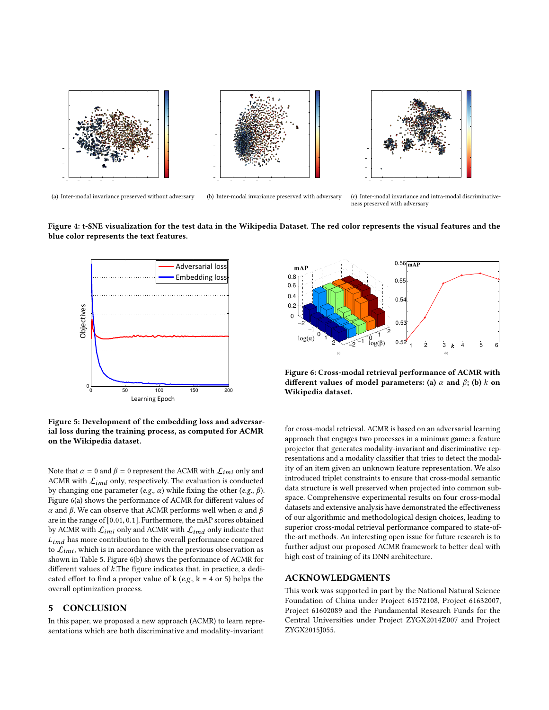

<span id="page-8-2"></span>

<span id="page-8-1"></span>

(a) Inter-modal invariance preserved without adversary (b) Inter-modal invariance preserved with adversary (c) Inter-modal invariance and intra-modal discriminativeness preserved with adversary



<span id="page-8-3"></span>

Figure 5: Development of the embedding loss and adversarial loss during the training process, as computed for ACMR on the Wikipedia dataset.

Note that  $\alpha = 0$  and  $\beta = 0$  represent the ACMR with  $\mathcal{L}_{imi}$  only and ACMR with  $\mathcal{L}_{imd}$  only, respectively. The evaluation is conducted by changing one parameter (e.g.,  $\alpha$ ) while fixing the other (e.g.,  $\beta$ ). Figure [6\(](#page-8-4)a) shows the performance of ACMR for different values of α and β. We can observe that ACMR performs well when  $\alpha$  and β are in the range of [0.01, 0.1]. Furthermore, the mAP scores obtained by ACMR with  $\mathcal{L}_{imi}$  only and ACMR with  $\mathcal{L}_{imd}$  only indicate that  $L_{imd}$  has more contribution to the overall performance compared to  $\mathcal{L}_{imi}$ , which is in accordance with the previous observation as shown in Table [5.](#page-7-1) Figure [6\(](#page-8-4)b) shows the performance of ACMR for different values of k.The figure indicates that, in practice, a dedicated effort to find a proper value of k (e.g.,  $k = 4$  or 5) helps the overall optimization process.

#### 5 CONCLUSION

In this paper, we proposed a new approach (ACMR) to learn representations which are both discriminative and modality-invariant

<span id="page-8-4"></span>

<span id="page-8-0"></span>Figure 6: Cross-modal retrieval performance of ACMR with different values of model parameters: (a)  $\alpha$  and  $\beta$ ; (b) k on Wikipedia dataset.

for cross-modal retrieval. ACMR is based on an adversarial learning approach that engages two processes in a minimax game: a feature projector that generates modality-invariant and discriminative representations and a modality classifier that tries to detect the modality of an item given an unknown feature representation. We also introduced triplet constraints to ensure that cross-modal semantic data structure is well preserved when projected into common subspace. Comprehensive experimental results on four cross-modal datasets and extensive analysis have demonstrated the effectiveness of our algorithmic and methodological design choices, leading to superior cross-modal retrieval performance compared to state-ofthe-art methods. An interesting open issue for future research is to further adjust our proposed ACMR framework to better deal with high cost of training of its DNN architecture.

### ACKNOWLEDGMENTS

This work was supported in part by the National Natural Science Foundation of China under Project 61572108, Project 61632007, Project 61602089 and the Fundamental Research Funds for the Central Universities under Project ZYGX2014Z007 and Project ZYGX2015J055.